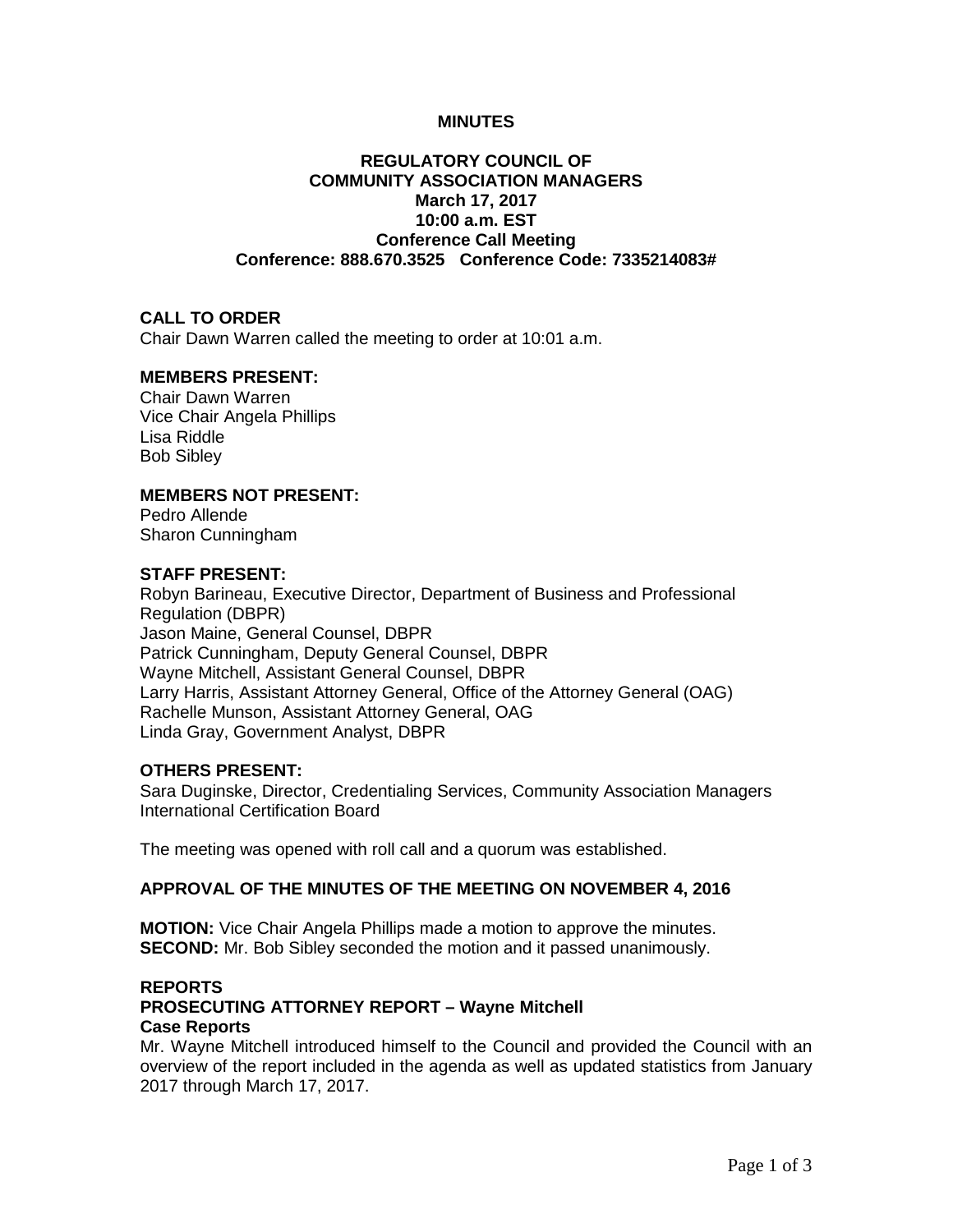### **MINUTES**

# **REGULATORY COUNCIL OF COMMUNITY ASSOCIATION MANAGERS March 17, 2017 10:00 a.m. EST Conference Call Meeting Conference: 888.670.3525 Conference Code: 7335214083#**

### **CALL TO ORDER**

Chair Dawn Warren called the meeting to order at 10:01 a.m.

# **MEMBERS PRESENT:**

Chair Dawn Warren Vice Chair Angela Phillips Lisa Riddle Bob Sibley

## **MEMBERS NOT PRESENT:**

Pedro Allende Sharon Cunningham

### **STAFF PRESENT:**

Robyn Barineau, Executive Director, Department of Business and Professional Regulation (DBPR) Jason Maine, General Counsel, DBPR Patrick Cunningham, Deputy General Counsel, DBPR Wayne Mitchell, Assistant General Counsel, DBPR Larry Harris, Assistant Attorney General, Office of the Attorney General (OAG) Rachelle Munson, Assistant Attorney General, OAG Linda Gray, Government Analyst, DBPR

## **OTHERS PRESENT:**

Sara Duginske, Director, Credentialing Services, Community Association Managers International Certification Board

The meeting was opened with roll call and a quorum was established.

### **APPROVAL OF THE MINUTES OF THE MEETING ON NOVEMBER 4, 2016**

**MOTION:** Vice Chair Angela Phillips made a motion to approve the minutes. **SECOND:** Mr. Bob Sibley seconded the motion and it passed unanimously.

#### **REPORTS PROSECUTING ATTORNEY REPORT – Wayne Mitchell Case Reports**

Mr. Wayne Mitchell introduced himself to the Council and provided the Council with an overview of the report included in the agenda as well as updated statistics from January 2017 through March 17, 2017.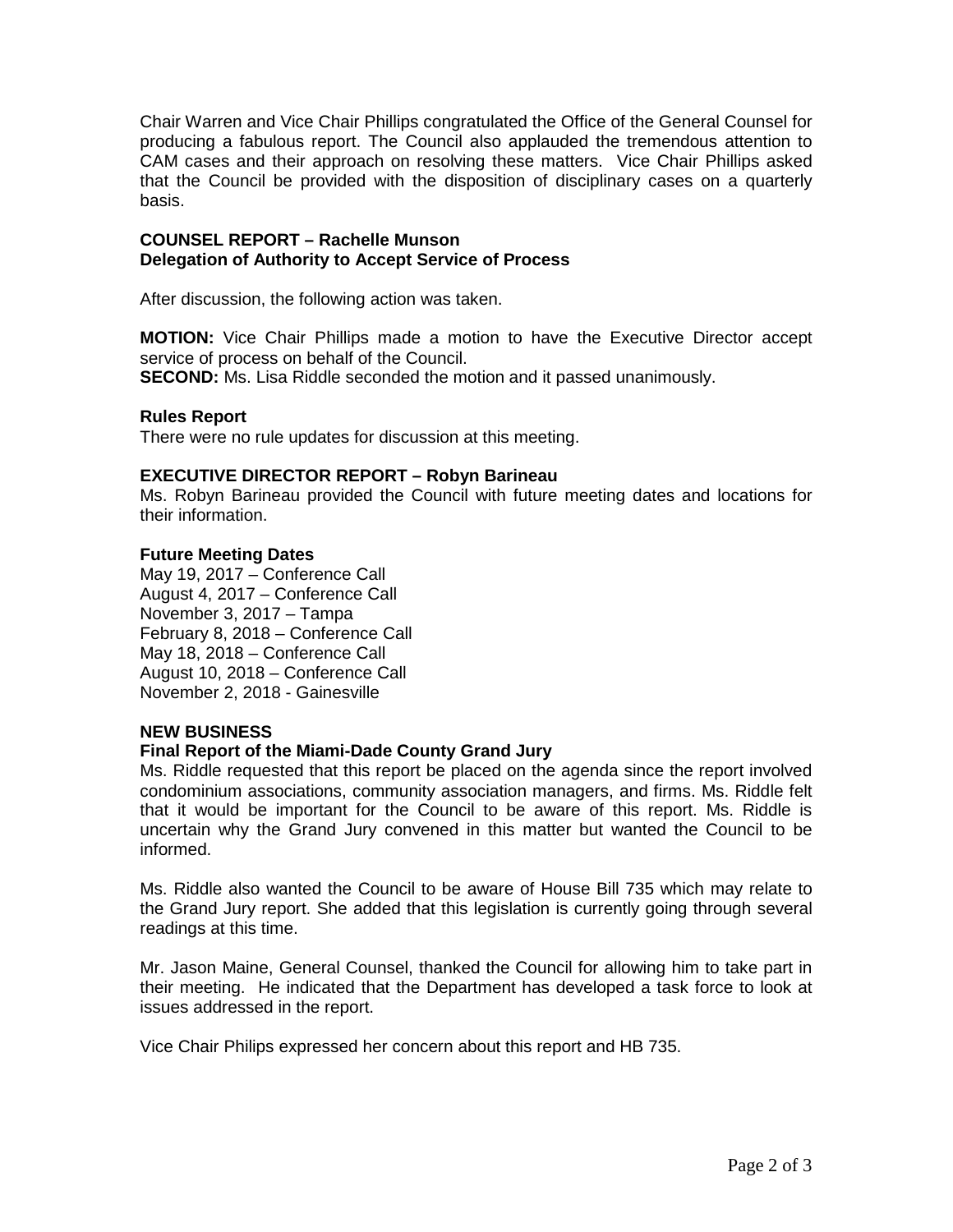Chair Warren and Vice Chair Phillips congratulated the Office of the General Counsel for producing a fabulous report. The Council also applauded the tremendous attention to CAM cases and their approach on resolving these matters. Vice Chair Phillips asked that the Council be provided with the disposition of disciplinary cases on a quarterly basis.

#### **COUNSEL REPORT – Rachelle Munson Delegation of Authority to Accept Service of Process**

After discussion, the following action was taken.

**MOTION:** Vice Chair Phillips made a motion to have the Executive Director accept service of process on behalf of the Council.

**SECOND:** Ms. Lisa Riddle seconded the motion and it passed unanimously.

## **Rules Report**

There were no rule updates for discussion at this meeting.

## **EXECUTIVE DIRECTOR REPORT – Robyn Barineau**

Ms. Robyn Barineau provided the Council with future meeting dates and locations for their information.

### **Future Meeting Dates**

May 19, 2017 – Conference Call August 4, 2017 – Conference Call November 3, 2017 – Tampa February 8, 2018 – Conference Call May 18, 2018 – Conference Call August 10, 2018 – Conference Call November 2, 2018 - Gainesville

# **NEW BUSINESS**

# **Final Report of the Miami-Dade County Grand Jury**

Ms. Riddle requested that this report be placed on the agenda since the report involved condominium associations, community association managers, and firms. Ms. Riddle felt that it would be important for the Council to be aware of this report. Ms. Riddle is uncertain why the Grand Jury convened in this matter but wanted the Council to be informed.

Ms. Riddle also wanted the Council to be aware of House Bill 735 which may relate to the Grand Jury report. She added that this legislation is currently going through several readings at this time.

Mr. Jason Maine, General Counsel, thanked the Council for allowing him to take part in their meeting. He indicated that the Department has developed a task force to look at issues addressed in the report.

Vice Chair Philips expressed her concern about this report and HB 735.